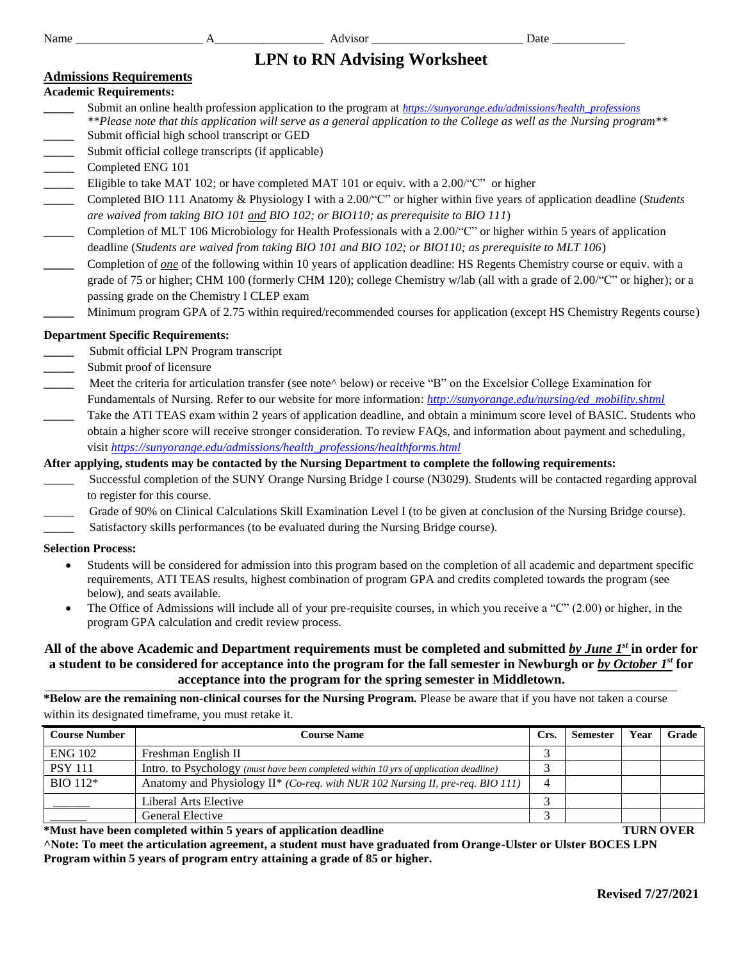# **LPN to RN Advising Worksheet**

# **Admissions Requirements**

### **Academic Requirements:**

- **\_\_\_\_\_** Submit an online health profession application to the program at *[https://sunyorange.edu/admissions/health\\_professions](https://sunyorange.edu/admissions/health_professions/index.html) \*\*Please note that this application will serve as a general application to the College as well as the Nursing program\*\** Submit official high school transcript or GED
- Submit official college transcripts (if applicable)
- **\_\_\_\_\_** Completed ENG 101
- Eligible to take MAT 102; or have completed MAT 101 or equiv. with a 2.00<sup>'</sup>"C" or higher
- **\_\_\_\_\_** Completed BIO 111 Anatomy & Physiology I with a 2.00/"C" or higher within five years of application deadline (*Students are waived from taking BIO 101 and BIO 102; or BIO110; as prerequisite to BIO 111*)
- **\_\_\_\_\_** Completion of MLT 106 Microbiology for Health Professionals with a 2.00/"C" or higher within 5 years of application deadline (*Students are waived from taking BIO 101 and BIO 102; or BIO110; as prerequisite to MLT 106*)
- **\_\_\_\_\_** Completion of *one* of the following within 10 years of application deadline: HS Regents Chemistry course or equiv. with a grade of 75 or higher; CHM 100 (formerly CHM 120); college Chemistry w/lab (all with a grade of 2.00/"C" or higher); or a passing grade on the Chemistry I CLEP exam
- **\_\_\_\_\_** Minimum program GPA of 2.75 within required/recommended courses for application (except HS Chemistry Regents course)

### **Department Specific Requirements:**

- **\_\_\_\_\_** Submit official LPN Program transcript
- **\_\_\_\_\_** Submit proof of licensure
- Meet the criteria for articulation transfer (see note<sup> $\land$ </sup> below) or receive "B" on the Excelsior College Examination for Fundamentals of Nursing. Refer to our website for more information: *[http://sunyorange.edu/nursing/ed\\_mobility.shtml](http://sunyorange.edu/nursing/ed_mobility.shtml)*
- Take the ATI TEAS exam within 2 years of application deadline, and obtain a minimum score level of BASIC. Students who obtain a higher score will receive stronger consideration. To review FAQs, and information about payment and scheduling, visit *[https://sunyorange.edu/admissions/health\\_professions/healthforms.html](https://sunyorange.edu/admissions/health_professions/healthforms.html)*

### **After applying, students may be contacted by the Nursing Department to complete the following requirements:**

- Successful completion of the SUNY Orange Nursing Bridge I course (N3029). Students will be contacted regarding approval to register for this course.
- \_\_\_\_\_ Grade of 90% on Clinical Calculations Skill Examination Level I (to be given at conclusion of the Nursing Bridge course).
- Satisfactory skills performances (to be evaluated during the Nursing Bridge course).

#### **Selection Process:**

- Students will be considered for admission into this program based on the completion of all academic and department specific requirements, ATI TEAS results, highest combination of program GPA and credits completed towards the program (see below), and seats available.
- The Office of Admissions will include all of your pre-requisite courses, in which you receive a "C" (2.00) or higher, in the program GPA calculation and credit review process.

# **All of the above Academic and Department requirements must be completed and submitted** *by June 1st* **in order for a student to be considered for acceptance into the program for the fall semester in Newburgh or** *by October 1st* **for acceptance into the program for the spring semester in Middletown.**

**\*Below are the remaining non-clinical courses for the Nursing Program.** Please be aware that if you have not taken a course within its designated timeframe, you must retake it.

| <b>Course Number</b> | <b>Course Name</b>                                                                    | Crs. | <b>Semester</b> | Vear | Grade |
|----------------------|---------------------------------------------------------------------------------------|------|-----------------|------|-------|
| <b>ENG 102</b>       | Freshman English II                                                                   |      |                 |      |       |
| <b>PSY 111</b>       | Intro. to Psychology (must have been completed within 10 yrs of application deadline) |      |                 |      |       |
| $BIO$ 112 $*$        | Anatomy and Physiology II* (Co-req. with NUR 102 Nursing II, pre-req. BIO 111)        |      |                 |      |       |
|                      | Liberal Arts Elective                                                                 |      |                 |      |       |
|                      | General Elective                                                                      |      |                 |      |       |

**\*Must have been completed within 5 years of application deadline TURN OVER**

**^Note: To meet the articulation agreement, a student must have graduated from Orange-Ulster or Ulster BOCES LPN Program within 5 years of program entry attaining a grade of 85 or higher.**